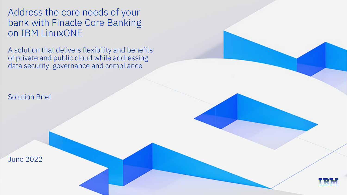Address the core needs of your bank with Finacle Core Banking on IBM LinuxONE

A solution that delivers flexibility and benefits of private and public cloud while addressing data security, governance and compliance

Solution Brief

June 2022

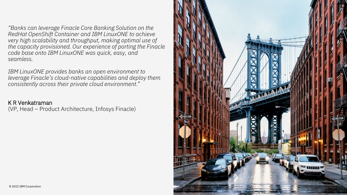*"Banks can leverage Finacle Core Banking Solution on the RedHat OpenShift Container and IBM LinuxONE to achieve very high scalability and throughput, making optimal use of the capacity provisioned. Our experience of porting the Finacle code base onto IBM LinuxONE was quick, easy, and seamless.*

*IBM LinuxONE provides banks an open environment to leverage Finacle's cloud-native capabilities and deploy them consistently across their private cloud environment*."

### K R Venkatraman

(VP, Head – Product Architecture, Infosys Finacle)

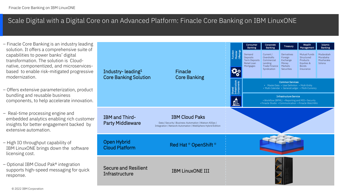### Scale Digital with a Digital Core on an Advanced Platform: Finacle Core Banking on IBM LinuxONE

– Finacle Core Banking is an industry leading solution. It offers a comprehensive suite of capabilities to power banks' digital transformation. The solution is Cloudnative, componentized, and microservicesbased to enable risk-mitigated progressive modernization.

– Offers extensive parameterization, product bundling and reusable business components, to help accelerate innovation.

– Real-time processing engine and embedded analytics enabling rich custome insights for better engagement backed by extensive automation.

– High IO throughput capability of IBM LinuxONE brings down the software licensing cost.

– Optional IBM Cloud Pak® integration supports high-speed messaging for quick response.

|    |                                                               |                                                                                                                                                |     | Consumer<br>Banking                                                                                                                                               | Corporate<br>Banking                                                             | Treasury                                                                           | Wealth<br>Management                                                                     | Islamic<br>Banking                            |  |
|----|---------------------------------------------------------------|------------------------------------------------------------------------------------------------------------------------------------------------|-----|-------------------------------------------------------------------------------------------------------------------------------------------------------------------|----------------------------------------------------------------------------------|------------------------------------------------------------------------------------|------------------------------------------------------------------------------------------|-----------------------------------------------|--|
| Э  | Industry-leading <sup>1</sup><br><b>Core Banking Solution</b> | Finacle<br><b>Core Banking</b>                                                                                                                 |     | Demand<br><b>Deposits</b><br><b>Term Deposits</b><br>Retail Loan<br>Mortgages                                                                                     | Current /<br>Overdrafts<br>Commercial<br>Lending<br>Trade Finance<br>Syndication | <b>Derivatives</b><br>Foreign<br>Exchange<br>Money<br>Markets<br><b>Securities</b> | Mutual Funds<br>Structured<br><b>Products</b><br>Equities &<br><b>Bonds</b><br>Insurance | Mudarabah<br>Murabaha<br>Musharaka<br>Istisna |  |
|    |                                                               |                                                                                                                                                |     | <b>Common Services</b><br>• Master Data • User Definition • Multi-Entity<br>Shared<br>Infrastruc<br>Compone<br>• Multi-Calendar • General Ledger • Multi-Currency |                                                                                  |                                                                                    |                                                                                          |                                               |  |
|    |                                                               |                                                                                                                                                | ਜ਼ਿ | <b>Infrastructure Service</b><br>• Workflow (BPML) • Reporting and MIS • Security<br>· Finacle Studio · Communication · Finacle WatchWiz                          |                                                                                  |                                                                                    |                                                                                          |                                               |  |
| эr | IBM and Third-<br><b>Party Middleware</b>                     | <b>IBM Cloud Paks</b><br>Data   Security   Business Automation   Watson AIOps  <br>Integration   Network Automation   WebSphere Hybrid Edition |     |                                                                                                                                                                   |                                                                                  |                                                                                    |                                                                                          |                                               |  |
|    | Open Hybrid<br><b>Cloud Platform</b>                          | Red Hat ® OpenShift ®                                                                                                                          |     |                                                                                                                                                                   |                                                                                  |                                                                                    |                                                                                          |                                               |  |
|    | Secure and Resilient<br>Infrastructure                        | <b>IBM LinuxONE III</b>                                                                                                                        |     |                                                                                                                                                                   |                                                                                  |                                                                                    |                                                                                          |                                               |  |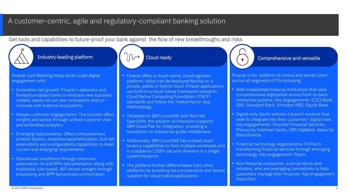### A customer-centric, agile and regulatory-compliant banking solution

Get tools and capabilities to future-proof your bank against the flow of new breakthroughs and risks

Finacle Core Banking helps banks scale digital engagement with:

- Innovation-led growth: Finacle's openness and flexibility enables banks to embrace new business models, easily roll out new innovations and coinnovate with external ecosystems
- Deeper customer engagements: The solution offers insights and action through unified customer view and embedded analytics
- Emerging requirements: Offers comprehensive product factory, extensive parametrization, GUI-led extensibility and configurability capabilities to meet current and emerging requirements
- Operational excellence through extensive automation: AI and RPA-led automation along with traditional rule-based, API-driven straight through processing and BPM led process orchestration

- Finacle offers a cloud-native, cloud-agnostic platform, which can be deployed flexibly on a private, public or hybrid cloud. Finacle applications are built on a cloud-native framework based on Cloud Native Computing Foundation (CNCF) standards and follow the Twelve-factor App Methodology.
- Validated on IBM LinuxONE with Red Hat OpenShift, the solution architecture supports IBM Cloud Pak for Integration, providing a foundation on enterprise-grade middleware.
- Additionally, IBM LinuxONE has trusted multitenancy capabilities to host multiple workloads and is scalable to 1300+ security domains in a single system footprint.
- The platform further differentiates from other platforms by providing secure execution and tenant isolation for cloud native applications.

### Industry-leading platform  $\begin{bmatrix} \begin{bmatrix} 1 & 1 \end{bmatrix} & \begin{bmatrix} 1 & 1 \end{bmatrix} & \begin{bmatrix} 1 & 1 \end{bmatrix} & \begin{bmatrix} 1 & 1 \end{bmatrix} & \begin{bmatrix} 1 & 1 \end{bmatrix} & \begin{bmatrix} 1 & 1 \end{bmatrix} & \begin{bmatrix} 1 & 1 \end{bmatrix} & \begin{bmatrix} 1 & 1 \end{bmatrix} & \begin{bmatrix} 1 & 1 \end{bmatrix} & \begin{bmatrix} 1 & 1 \end{bmatrix} & \begin{bmatrix} 1$

Finacle is the platform of choice and serves client across all segments of FIs including:

- Well-established financial institutions that seek comprehensive digitization across front-to-back enterprise systems. Key engagements: ICICI Bank, DBS, Standard Bank, Emirates NBD, Equity Bank
- Digital-only banks without a branch network that seek to integrate into their customers' digital lives. Key engagements: Discover Financial Services, Marcus by Goldman Sachs, DBS DigiBank, Nequi by Bancolombia
- Financial technology organizations (FinTech) transforming financial services through emerging technology. Key engagement: Paytm
- Non-financial companies, such as telcos and retailers, who are leveraging connectivity to help customers manage their finances. Key engagement: India Post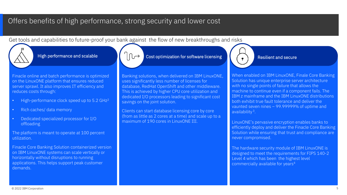### Offers benefits of high performance, strong security and lower cost

Get tools and capabilities to future-proof your bank against the flow of new breakthroughs and risks

Finacle online and batch performance is optimized on the LinuxONE platform that ensures reduced server sprawl. It also improves IT efficiency and reduces costs through:

- High-performance clock speed up to 5.2 GHz2
- Rich caches/ data memory
- Dedicated specialized processor for I/O offloading

The platform is meant to operate at 100 percent utilization.

Finacle Core Banking Solution containerized version on IBM LinuxONE systems can scale vertically or horizontally without disruptions to running applications. This helps support peak customer demands.

High performance and scalable  $\left|\left|\left(\right\rangle\right)\right|$  Cost optimization for software licensing  $\left|\left(\right\rangle\right|$  Resilient and secure

Banking solutions, when delivered on IBM LinuxONE, uses significantly less number of licenses for database, RedHat OpenShift and other middleware. This is achieved by higher CPU core utilization and dedicated I/O processors leading to significant cost savings on the joint solution.

Clients can start database licensing core by core (from as little as 2 cores at a time) and scale up to a maximum of 190 cores in LinuxONE III.

When enabled on IBM LinuxONE, Finale Core Banking Solution has unique enterprise server architecture with no single points of failure that allows the machine to continue even if a component fails. The IBM z mainframe and the IBM LinuxONE distributions both exhibit true fault tolerance and deliver the vaunted seven nines – 99.99999% of uptime and availability 3.

LinuxONE's pervasive encryption enables banks to efficiently deploy and deliver the Finacle Core Banking Solution while ensuring that trust and compliance are never compromised.

The hardware security module of IBM LinuxONE is designed to meet the requirements for FIPS 140-2 Level 4 which has been the highest level commercially available for years<sup>4</sup>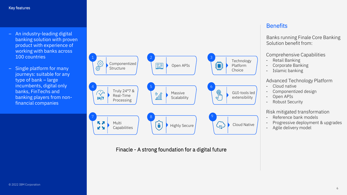- An industry-leading digital banking solution with proven product with experience of working with banks across 100 countries
- Single platform for many journeys: suitable for any type of bank – large incumbents, digital only banks, FinTechs and banking players from nonfinancial companies



#### Finacle - A strong foundation for a digital future

### **Benefits**

Banks running Finale Core Banking Solution benefit from:

#### Comprehensive Capabilities

- Retail Banking
- Corporate Banking
- Islamic banking

#### Advanced Technology Platform

- Cloud native
- Componentized design
- Open APIs
- Robust Security

#### Risk mitigated transformation

- Reference bank models
- Progressive deployment & upgrades
- Agile delivery model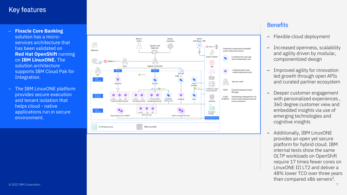### Key features

- **Finacle Core Banking** solution has a micro services architecture that has been validated on **Red Hat OpenShift** running on **IBM LinuxONE.** The solution architecture supports IBM Cloud Pak for Integration.
- The IBM LinuxONE platform provides secure execution and tenant isolation that helps cloud - native applications run in secure environment.



### **Benefits**

- Flexible cloud deployment
- Increased openness, scalability and agility driven by modular, componentized design
- Improved agility for innovation led growth through open APIs and curated partner ecosystem
- Deeper customer engagement with personalized experiences , 360 degree customer view and embedded insights via use of emerging technologies and cognitive insights
- Additionally, IBM LinuxONE provides an open yet secure platform for hybrid cloud. IBM internal tests show the same OLTP workloads on OpenShift require 17 times fewer cores on LinuxONE III LT2 and deliver a 48% lower TCO over three years than compared x86 servers 2 .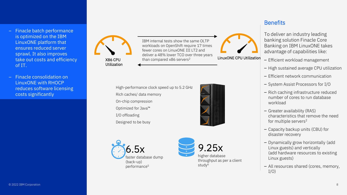- Finacle batch performance is optimized on the IBM LinuxONE platform that ensures reduced server sprawl. It also improves take out costs and efficiency of IT.
- Finacle consolidation on LinuxONE with RHOCP reduces software licensing costs significantly

X86 CPU Utilization

LinuxONE CPU Utilization IBM internal tests show the same OLTP workloads on OpenShift require 17 times fewer cores on LinuxONE III LT2 and deliver a 48% lower TCO over three years than compared x86 servers<sup>2</sup>

High-performance clock speed up to 5.2 GHz Rich caches/ data memory On-chip compression Optimized for Java™ I/O offloading Designed to be busy







### **Benefits**

To deliver an industry leading banking solution Finacle Core Banking on IBM LinuxONE takes advantage of capabilities like:

- Efficient workload management
- High sustained average CPU utilization
- Efficient network communication
- System Assist Processors for I/O
- Rich caching infrastructure reduced number of cores to run database workload
- Greater availability (RAS) characteristics that remove the need for multiple servers2
- Capacity backup units (CBU) for disaster recovery
- Dynamically grow horizontally (add Linux guests) and vertically (add hardware resources to existing Linux guests)
- All resources shared (cores, memory,  $I/O$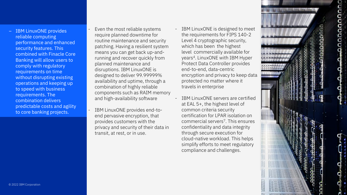- IBM LinuxONE provides reliable computing performance and enhanced security features. This combined with Finacle Core Banking will allow users to comply with regulatory requirements on time without disrupting existing operations and keeping up to speed with business requirements. The combination delivers predictable costs and agility to core banking projects.
- Even the most reliable systems require planned downtime for routine maintenance and security patching. Having a resilient system means you can get back up -and running and recover quickly from planned maintenance and disruptions. IBM LinuxONE is designed to deliver 99.99999% availability and uptime, through a combination of highly reliable components such as RAIM memory and high -availability software
- IBM LinuxONE provides end-toend pervasive encryption, that provides customers with the privacy and security of their data in transit, at rest, or in use.
- IBM LinuxONE is designed to meet the requirements for FIPS 140 -2 Level 4 cryptographic security, which has been the highest level commercially available for years 4. LinuxONE with IBM Hyper Protect Data Controller provides end -to -end, data -centric encryption and privacy to keep data protected no matter where it travels in enterprise
- IBM LinuxONE servers are certified at EAL 5+, the highest level of common criteria security certification for LPAR isolation on commercial servers 7. This ensures confidentiality and data integrity through secure execution for cloud -native workload. This helps simplify efforts to meet regulatory compliance and challenges.



9

annanan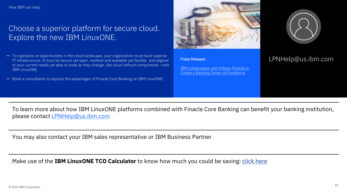## Choose a superior platform for secure cloud. Explore the new IBM LinuxONE.

- To capitalize on opportunities in the cloud landscape, your organization must have superior IT infrastructure. It must be secure yet open, resilient and available yet flexible, and aligned to your current needs yet able to scale as they change. Get cloud without compromise —with IBM LinuxONE.
- Book a consultation to explore the advantages of Finacle Core Banking on IBM LinuxONE.



#### Press Release:

[IBM collaborates with Infosys Finacle to](https://es.newsroom.ibm.com/announcements?item=122572) Create a Banking Center of Excellence



### LPNHelp@us.ibm.com

To learn more about how IBM LinuxONE platforms combined with Finacle Core Banking can benefit your banking institution, please contact [LPNHelp@us.ibm.com](mailto:LPNHelp@us.ibm.com)

You may also contact your IBM sales representative or IBM Business Partner

Make use of the **IBM LinuxONE TCO Calculator** to know how much you could be saving: [click here](https://www.ibm.com/it-infrastructure/resources/tools/linuxone-tco-calculator)